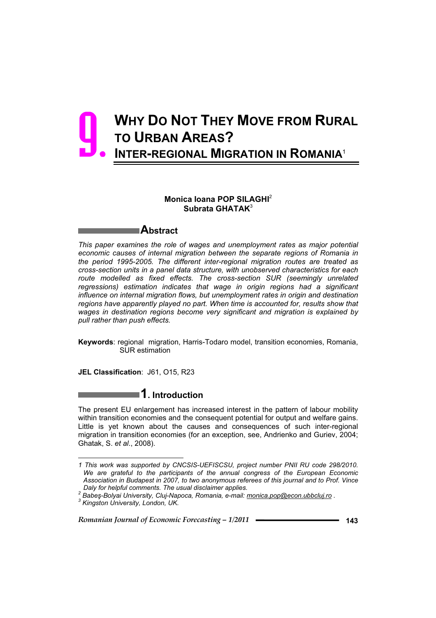# **WHY DO NOT THEY MOVE FROM RURAL TO URBAN AREAS? INTER-REGIONAL MIGRATION IN ROMANIA**<sup>1</sup> 9.

### **Monica Ioana POP SILAGHI**<sup>2</sup> **Subrata GHATAK**<sup>3</sup>

### **Abstract**

*This paper examines the role of wages and unemployment rates as major potential economic causes of internal migration between the separate regions of Romania in the period 1995-2005. The different inter-regional migration routes are treated as cross-section units in a panel data structure, with unobserved characteristics for each route modelled as fixed effects. The cross-section SUR (seemingly unrelated regressions) estimation indicates that wage in origin regions had a significant influence on internal migration flows, but unemployment rates in origin and destination regions have apparently played no part. When time is accounted for, results show that wages in destination regions become very significant and migration is explained by pull rather than push effects.*

**Keywords**: regional migration, Harris-Todaro model, transition economies, Romania, SUR estimation

**JEL Classification**: J61, O15, R23

# **1. Introduction**

The present EU enlargement has increased interest in the pattern of labour mobility within transition economies and the consequent potential for output and welfare gains. Little is yet known about the causes and consequences of such inter-regional migration in transition economies (for an exception, see, Andrienko and Guriev, 2004; Ghatak, S. *et al*., 2008).

 $\overline{a}$ 

*<sup>1</sup> This work was supported by CNCSIS-UEFISCSU, project number PNII RU code 298/2010. We are grateful to the participants of the annual congress of the European Economic Association in Budapest in 2007, to two anonymous referees of this journal and to Prof. Vince Daly for helpful comments. The usual disclaimer applies. 2*

*Babeú-Bolyai University, Cluj-Napoca, Romania, e-mail: monica.pop@econ.ubbcluj.ro . 3*

*Kingston University, London, UK.*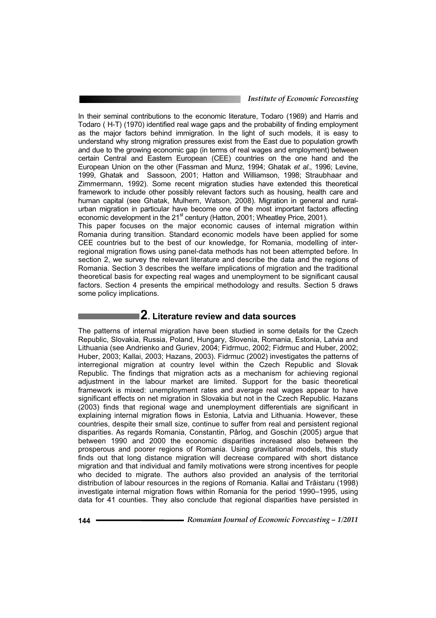In their seminal contributions to the economic literature, Todaro (1969) and Harris and Todaro ( H-T) (1970) identified real wage gaps and the probability of finding employment as the major factors behind immigration. In the light of such models, it is easy to understand why strong migration pressures exist from the East due to population growth and due to the growing economic gap (in terms of real wages and employment) between certain Central and Eastern European (CEE) countries on the one hand and the European Union on the other (Fassman and Munz, 1994; Ghatak *et al*., 1996; Levine, 1999, Ghatak and Sassoon, 2001; Hatton and Williamson, 1998; Straubhaar and Zimmermann, 1992). Some recent migration studies have extended this theoretical framework to include other possibly relevant factors such as housing, health care and human capital (see Ghatak, Mulhern, Watson, 2008). Migration in general and ruralurban migration in particular have become one of the most important factors affecting economic development in the 21<sup>st</sup> century (Hatton, 2001; Wheatley Price, 2001).

This paper focuses on the major economic causes of internal migration within Romania during transition. Standard economic models have been applied for some CEE countries but to the best of our knowledge, for Romania, modelling of interregional migration flows using panel-data methods has not been attempted before. In section 2, we survey the relevant literature and describe the data and the regions of Romania. Section 3 describes the welfare implications of migration and the traditional theoretical basis for expecting real wages and unemployment to be significant causal factors. Section 4 presents the empirical methodology and results. Section 5 draws some policy implications.

# **2. Literature review and data sources**

The patterns of internal migration have been studied in some details for the Czech Republic, Slovakia, Russia, Poland, Hungary, Slovenia, Romania, Estonia, Latvia and Lithuania (see Andrienko and Guriev, 2004; Fidrmuc, 2002; Fidrmuc and Huber, 2002; Huber, 2003; Kallai, 2003; Hazans, 2003). Fidrmuc (2002) investigates the patterns of interregional migration at country level within the Czech Republic and Slovak Republic. The findings that migration acts as a mechanism for achieving regional adjustment in the labour market are limited. Support for the basic theoretical framework is mixed: unemployment rates and average real wages appear to have significant effects on net migration in Slovakia but not in the Czech Republic. Hazans (2003) finds that regional wage and unemployment differentials are significant in explaining internal migration flows in Estonia, Latvia and Lithuania. However, these countries, despite their small size, continue to suffer from real and persistent regional disparities. As regards Romania, Constantin, Pârlog, and Goschin (2005) argue that between 1990 and 2000 the economic disparities increased also between the prosperous and poorer regions of Romania. Using gravitational models, this study finds out that long distance migration will decrease compared with short distance migration and that individual and family motivations were strong incentives for people who decided to migrate. The authors also provided an analysis of the territorial distribution of labour resources in the regions of Romania. Kallai and Trăistaru (1998) investigate internal migration flows within Romania for the period 1990–1995, using data for 41 counties. They also conclude that regional disparities have persisted in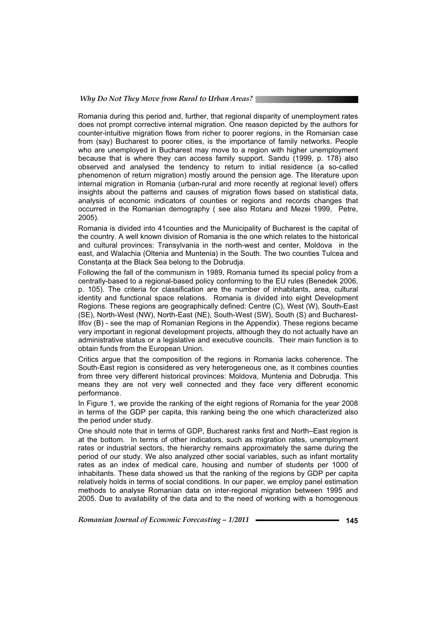Romania during this period and, further, that regional disparity of unemployment rates does not prompt corrective internal migration. One reason depicted by the authors for counter-intuitive migration flows from richer to poorer regions, in the Romanian case from (say) Bucharest to poorer cities, is the importance of family networks. People who are unemployed in Bucharest may move to a region with higher unemployment because that is where they can access family support. Sandu (1999, p. 178) also observed and analysed the tendency to return to initial residence (a so-called phenomenon of return migration) mostly around the pension age. The literature upon internal migration in Romania (urban-rural and more recently at regional level) offers insights about the patterns and causes of migration flows based on statistical data, analysis of economic indicators of counties or regions and records changes that occurred in the Romanian demography ( see also Rotaru and Mezei 1999, Petre, 2005).

Romania is divided into 41counties and the Municipality of Bucharest is the capital of the country. A well known division of Romania is the one which relates to the historical and cultural provinces: Transylvania in the north-west and center, Moldova in the east, and Walachia (Oltenia and Muntenia) in the South. The two counties Tulcea and Constanta at the Black Sea belong to the Dobrudja.

Following the fall of the communism in 1989, Romania turned its special policy from a centrally-based to a regional-based policy conforming to the EU rules (Benedek 2006, p. 105). The criteria for classification are the number of inhabitants, area, cultural identity and functional space relations. Romania is divided into eight Development Regions. These regions are geographically defined: Centre (C), West (W), South-East (SE), North-West (NW), North-East (NE), South-West (SW), South (S) and Bucharest-Ilfov (B) - see the map of Romanian Regions in the Appendix). These regions became very important in regional development projects, although they do not actually have an administrative status or a legislative and executive councils. Their main function is to obtain funds from the European Union.

Critics argue that the composition of the regions in Romania lacks coherence. The South-East region is considered as very heterogeneous one, as it combines counties from three very different historical provinces: Moldova, Muntenia and Dobrudja. This means they are not very well connected and they face very different economic performance.

In Figure 1, we provide the ranking of the eight regions of Romania for the year 2008 in terms of the GDP per capita, this ranking being the one which characterized also the period under study.

One should note that in terms of GDP, Bucharest ranks first and North–East region is at the bottom. In terms of other indicators, such as migration rates, unemployment rates or industrial sectors, the hierarchy remains approximately the same during the period of our study. We also analyzed other social variables, such as infant mortality rates as an index of medical care, housing and number of students per 1000 of inhabitants. These data showed us that the ranking of the regions by GDP per capita relatively holds in terms of social conditions. In our paper, we employ panel estimation methods to analyse Romanian data on inter-regional migration between 1995 and 2005. Due to availability of the data and to the need of working with a homogenous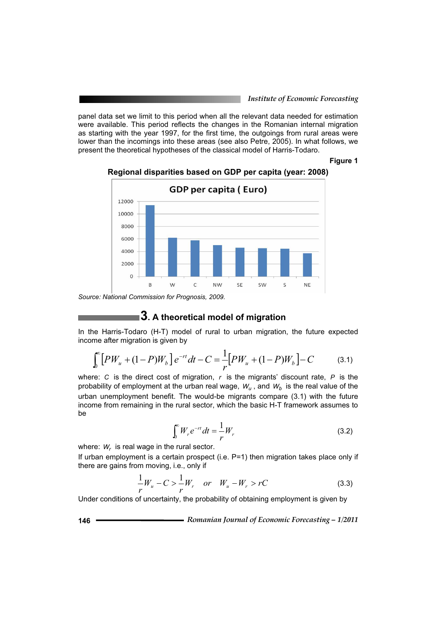panel data set we limit to this period when all the relevant data needed for estimation were available. This period reflects the changes in the Romanian internal migration as starting with the year 1997, for the first time, the outgoings from rural areas were lower than the incomings into these areas (see also Petre, 2005). In what follows, we present the theoretical hypotheses of the classical model of Harris-Todaro.

**Figure 1** 



#### **Regional disparities based on GDP per capita (year: 2008)**

*Source: National Commission for Prognosis, 2009.* 

### **3. A theoretical model of migration**

In the Harris-Todaro (H-T) model of rural to urban migration, the future expected income after migration is given by

$$
\int_{0}^{\infty} \left[ PW_u + (1 - P)W_b \right] e^{-rt} dt - C = \frac{1}{r} \left[ PW_u + (1 - P)W_b \right] - C \tag{3.1}
$$

where: *C* is the direct cost of migration, *r* is the migrants' discount rate, *P* is the probability of employment at the urban real wage,  $W_u$ , and  $W_b$  is the real value of the urban unemployment benefit. The would-be migrants compare (3.1) with the future income from remaining in the rural sector, which the basic H-T framework assumes to be

$$
\int_0^\infty W_r e^{-rt} dt = \frac{1}{r} W_r \tag{3.2}
$$

where: W<sub>r</sub> is real wage in the rural sector.

If urban employment is a certain prospect (i.e. P=1) then migration takes place only if there are gains from moving, i.e., only if

$$
\frac{1}{r}W_u - C > \frac{1}{r}W_r \quad or \quad W_u - W_r > rC \tag{3.3}
$$

Under conditions of uncertainty, the probability of obtaining employment is given by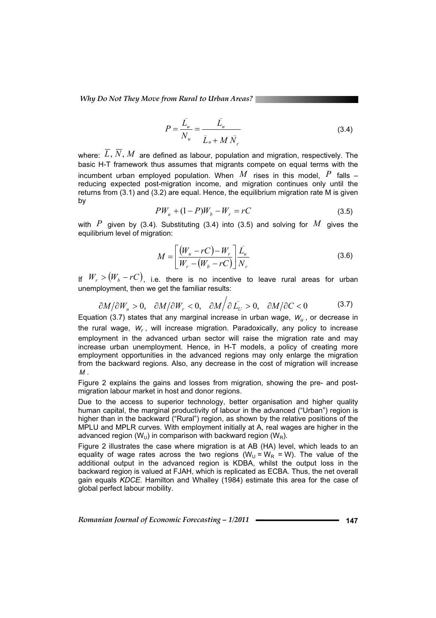*Why Do Not They Move from Rural to Urban Areas?* 

$$
P = \frac{\bar{L}_u}{N_u} = \frac{\bar{L}_u}{\bar{L}_u + M \bar{N}_r}
$$
(3.4)

where:  $\overline{L}$ ,  $\overline{N}$ ,  $M$  are defined as labour, population and migration, respectively. The basic H-T framework thus assumes that migrants compete on equal terms with the incumbent urban employed population. When  $M$  rises in this model.  $P$  falls  $$ reducing expected post-migration income, and migration continues only until the returns from (3.1) and (3.2) are equal. Hence, the equilibrium migration rate M is given by

$$
PW_u + (1 - P)W_b - W_r = rC \tag{3.5}
$$

with  $P$  given by (3.4). Substituting (3.4) into (3.5) and solving for  $M$  gives the equilibrium level of migration:

$$
M = \left[\frac{\left(W_u - rC\right) - W_r}{W_r - \left(W_b - rC\right)}\right] \frac{\bar{L}_u}{N_r} \tag{3.6}
$$

If  $W_r > (W_b - rC)$ , i.e. there is no incentive to leave rural areas for urban unemployment, then we get the familiar results:

$$
\frac{\partial M}{\partial W_u} > 0, \quad \frac{\partial M}{\partial W_r} < 0, \quad \frac{\partial M}{\partial L_U} > 0, \quad \frac{\partial M}{\partial C} < 0 \tag{3.7}
$$

Equation (3.7) states that any marginal increase in urban wage,  $W_{\mu}$ , or decrease in the rural wage, *Wr* , will increase migration. Paradoxically, any policy to increase employment in the advanced urban sector will raise the migration rate and may increase urban unemployment. Hence, in H-T models, a policy of creating more employment opportunities in the advanced regions may only enlarge the migration from the backward regions. Also, any decrease in the cost of migration will increase *M* .

Figure 2 explains the gains and losses from migration, showing the pre- and postmigration labour market in host and donor regions.

Due to the access to superior technology, better organisation and higher quality human capital, the marginal productivity of labour in the advanced ("Urban") region is higher than in the backward ("Rural") region, as shown by the relative positions of the MPLU and MPLR curves. With employment initially at A, real wages are higher in the advanced region ( $W_U$ ) in comparison with backward region ( $W_R$ ).

Figure 2 illustrates the case where migration is at AB (HA) level, which leads to an equality of wage rates across the two regions  $(W_{\text{U}} = W_{\text{R}} = W)$ . The value of the additional output in the advanced region is KDBA, whilst the output loss in the backward region is valued at FJAH, which is replicated as ECBA. Thus, the net overall gain equals *KDCE*. Hamilton and Whalley (1984) estimate this area for the case of global perfect labour mobility.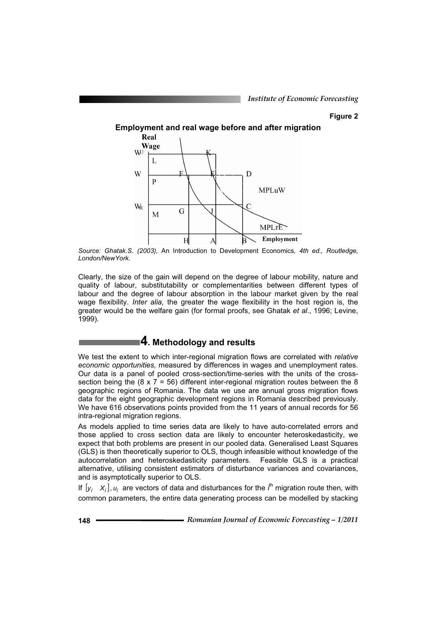#### **Figure 2**

**Employment and real wage before and after migration** 



*Source: Ghatak.S. (2003),* An Introduction to Development Economics*, 4th ed., Routledge, London/NewYork.* 

Clearly, the size of the gain will depend on the degree of labour mobility, nature and quality of labour, substitutability or complementarities between different types of labour and the degree of labour absorption in the labour market given by the real wage flexibility. *Inter alia,* the greater the wage flexibility in the host region is, the greater would be the welfare gain (for formal proofs, see Ghatak *et al*., 1996; Levine, 1999).

# **4. Methodology and results**

We test the extent to which inter-regional migration flows are correlated with *relative economic opportunities,* measured by differences in wages and unemployment rates. Our data is a panel of pooled cross-section/time-series with the units of the crosssection being the  $(8 \times 7 = 56)$  different inter-regional migration routes between the 8 geographic regions of Romania. The data we use are annual gross migration flows data for the eight geographic development regions in Romania described previously. We have 616 observations points provided from the 11 years of annual records for 56 intra-regional migration regions.

As models applied to time series data are likely to have auto-correlated errors and those applied to cross section data are likely to encounter heteroskedasticity, we expect that both problems are present in our pooled data. Generalised Least Squares (GLS) is then theoretically superior to OLS, though infeasible without knowledge of the autocorrelation and heteroskedasticity parameters. Feasible GLS is a practical alternative, utilising consistent estimators of disturbance variances and covariances, and is asymptotically superior to OLS.

If  $[y_i \ x_i]$ ,  $u_i$  are vectors of data and disturbances for the  $i^{\text{th}}$  migration route then, with common parameters, the entire data generating process can be modelled by stacking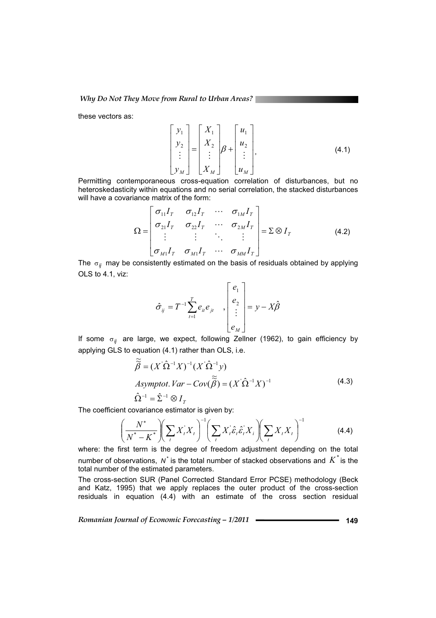these vectors as:

$$
\begin{bmatrix} y_1 \\ y_2 \\ \vdots \\ y_M \end{bmatrix} = \begin{bmatrix} X_1 \\ X_2 \\ \vdots \\ X_M \end{bmatrix} \beta + \begin{bmatrix} u_1 \\ u_2 \\ \vdots \\ u_M \end{bmatrix},
$$
\n(4.1)

Permitting contemporaneous cross-equation correlation of disturbances, but no heteroskedasticity within equations and no serial correlation, the stacked disturbances will have a covariance matrix of the form:

$$
\Omega = \begin{bmatrix} \sigma_{11}I_T & \sigma_{12}I_T & \cdots & \sigma_{1M}I_T \\ \sigma_{21}I_T & \sigma_{22}I_T & \cdots & \sigma_{2M}I_T \\ \vdots & \vdots & \ddots & \vdots \\ \sigma_{M1}I_T & \sigma_{M1}I_T & \cdots & \sigma_{MM}I_T \end{bmatrix} = \Sigma \otimes I_T
$$
\n(4.2)

The  $\sigma_{ij}$  may be consistently estimated on the basis of residuals obtained by applying OLS to 4.1, viz:

$$
\hat{\sigma}_{ij} = T^{-1} \sum_{t=1}^{T} e_{it} e_{jt} \quad , \begin{bmatrix} e_1 \\ e_2 \\ \vdots \\ e_M \end{bmatrix} = y - X \hat{\beta}
$$

If some  $\sigma_{ij}$  are large, we expect, following Zellner (1962), to gain efficiency by applying GLS to equation (4.1) rather than OLS, i.e.

$$
\widetilde{\widetilde{\beta}} = (X^{\prime} \hat{\Omega}^{-1} X)^{-1} (X^{\prime} \hat{\Omega}^{-1} y)
$$
  
Asymptot. Var - Cov( $\widetilde{\widetilde{\beta}}$ ) = ( $X^{\prime} \hat{\Omega}^{-1} X$ )<sup>-1</sup>  

$$
\hat{\Omega}^{-1} = \hat{\Sigma}^{-1} \otimes I_T
$$
 (4.3)

The coefficient covariance estimator is given by:

$$
\left(\frac{N^*}{N^*-K^*}\right)\left(\sum_t X_t^* X_t\right)^{-1} \left(\sum_t X_t^* \hat{\varepsilon}_t \hat{\varepsilon}_t^* X_t\right)\left(\sum_t X_t X_t\right)^{-1} \tag{4.4}
$$

where: the first term is the degree of freedom adjustment depending on the total number of observations,  $N^*$  is the total number of stacked observations and  $K^*$  is the total number of the estimated parameters.

The cross-section SUR (Panel Corrected Standard Error PCSE) methodology (Beck and Katz, 1995) that we apply replaces the outer product of the cross-section residuals in equation (4.4) with an estimate of the cross section residual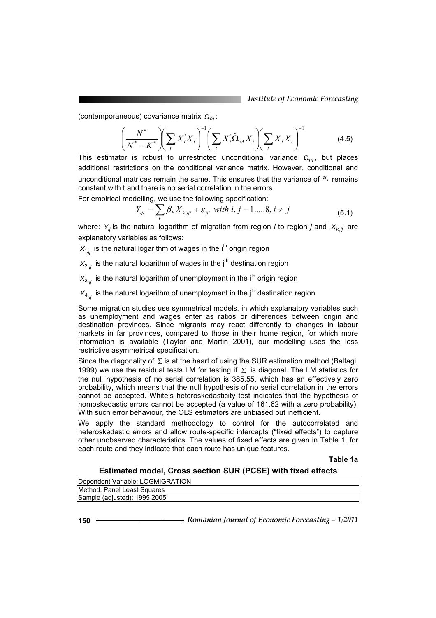(contemporaneous) covariance matrix  $\Omega_m$ :

$$
\left(\frac{N^*}{N^*-K^*}\right)\left(\sum_i X_i^* X_i\right)^{-1} \left(\sum_i X_i^* \hat{\Omega}_M X_i\right)\left(\sum_i X_i X_i\right)^{-1} \tag{4.5}
$$

This estimator is robust to unrestricted unconditional variance  $\Omega_m$ , but places additional restrictions on the conditional variance matrix. However, conditional and unconditional matrices remain the same. This ensures that the variance of  $u_i$  remains constant with t and there is no serial correlation in the errors.

For empirical modelling, we use the following specification:

$$
Y_{ijt} = \sum_{k} \beta_{k} X_{k, ijt} + \varepsilon_{ijt} \text{ with } i, j = 1, \dots, 8, i \neq j \tag{5.1}
$$

where:  $Y_{ij}$  is the natural logarithm of migration from region *i* to region *j* and  $X_{k,ij}$  are explanatory variables as follows:

 $X_{1,i}$  is the natural logarithm of wages in the i<sup>th</sup> origin region

 $X_{2,i}$  is the natural logarithm of wages in the j<sup>th</sup> destination region

 $X_{3,j}$  is the natural logarithm of unemployment in the i<sup>th</sup> origin region

 $X_{4,j}$  is the natural logarithm of unemployment in the j<sup>th</sup> destination region

Some migration studies use symmetrical models, in which explanatory variables such as unemployment and wages enter as ratios or differences between origin and destination provinces. Since migrants may react differently to changes in labour markets in far provinces, compared to those in their home region, for which more information is available (Taylor and Martin 2001), our modelling uses the less restrictive asymmetrical specification.

Since the diagonality of  $\Sigma$  is at the heart of using the SUR estimation method (Baltagi, 1999) we use the residual tests LM for testing if  $\Sigma$  is diagonal. The LM statistics for the null hypothesis of no serial correlation is 385.55, which has an effectively zero probability, which means that the null hypothesis of no serial correlation in the errors cannot be accepted. White's heteroskedasticity test indicates that the hypothesis of homoskedastic errors cannot be accepted (a value of 161.62 with a zero probability). With such error behaviour, the OLS estimators are unbiased but inefficient.

We apply the standard methodology to control for the autocorrelated and heteroskedastic errors and allow route-specific intercepts ("fixed effects") to capture other unobserved characteristics. The values of fixed effects are given in Table 1, for each route and they indicate that each route has unique features.

**Table 1a**

#### **Estimated model, Cross section SUR (PCSE) with fixed effects**

| Dependent Variable: LOGMIGRATION |
|----------------------------------|
| Method: Panel Least Squares      |
| Sample (adjusted): 1995 2005     |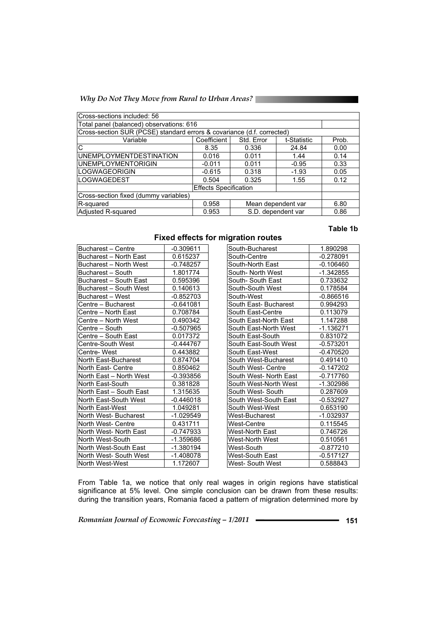*Why Do Not They Move from Rural to Urban Areas?* 

| Cross-sections included: 56                                            |             |                    |             |       |  |  |
|------------------------------------------------------------------------|-------------|--------------------|-------------|-------|--|--|
| Total panel (balanced) observations: 616                               |             |                    |             |       |  |  |
| Cross-section SUR (PCSE) standard errors & covariance (d.f. corrected) |             |                    |             |       |  |  |
| Variable                                                               | Coefficient | Std. Error         | t-Statistic | Prob. |  |  |
| C                                                                      | 8.35        | 0.336              | 24.84       | 0.00  |  |  |
| <b>UNEMPLOYMENTDESTINATION</b>                                         | 0.016       | 0.011              | 1.44        | 0.14  |  |  |
| <b>UNEMPLOYMENTORIGIN</b>                                              | $-0.011$    | 0.011              | $-0.95$     | 0.33  |  |  |
| <b>LOGWAGEORIGIN</b>                                                   | $-0.615$    | 0.318              | $-1.93$     | 0.05  |  |  |
| <b>LOGWAGEDEST</b>                                                     | 0.504       | 0.325              | 1.55        | 0.12  |  |  |
| <b>Effects Specification</b>                                           |             |                    |             |       |  |  |
| Cross-section fixed (dummy variables)                                  |             |                    |             |       |  |  |
| Mean dependent var<br>0.958<br>R-squared                               |             |                    |             | 6.80  |  |  |
| Adjusted R-squared                                                     | 0.953       | S.D. dependent var | 0.86        |       |  |  |

#### **Table 1b**

**Fixed effects for migration routes** 

| <b>Bucharest - Centre</b> | $-0.309611$ | South-Bucharest        | 1.890298    |
|---------------------------|-------------|------------------------|-------------|
| Bucharest - North East    | 0.615237    | South-Centre           | $-0.278091$ |
| Bucharest - North West    | $-0.748257$ | South-North East       | $-0.106460$ |
| Bucharest - South         | 1.801774    | South- North West      | $-1.342855$ |
| Bucharest - South East    | 0.595396    | South- South East      | 0.733632    |
| Bucharest - South West    | 0.140613    | South-South West       | 0.178584    |
| Bucharest - West          | $-0.852703$ | South-West             | $-0.866516$ |
| Centre – Bucharest        | $-0.641081$ | South East- Bucharest  | 0.994293    |
| Centre – North East       | 0.708784    | South East-Centre      | 0.113079    |
| Centre - North West       | 0.490342    | South East-North East  | 1.147288    |
| Centre – South            | $-0.507965$ | South East-North West  | -1.136271   |
| Centre - South East       | 0.017372    | South East-South       | 0.831072    |
| Centre-South West         | $-0.444767$ | South East-South West  | $-0.573201$ |
| Centre-West               | 0.443882    | South East-West        | $-0.470520$ |
| North East-Bucharest      | 0.874704    | South West-Bucharest   | 0.491410    |
| North East- Centre        | 0.850462    | South West- Centre     | $-0.147202$ |
| North East - North West   | $-0.393856$ | South West- North East | $-0.717760$ |
| North East-South          | 0.381828    | South West-North West  | $-1.302986$ |
| North East - South East   | 1.315635    | South West- South      | 0.287609    |
| North East-South West     | $-0.446018$ | South West-South East  | $-0.532927$ |
| North East-West           | 1.049281    | South West-West        | 0.653190    |
| North West-Bucharest      | -1.029549   | West-Bucharest         | -1.032937   |
| North West- Centre        | 0.431711    | West-Centre            | 0.115545    |
| North West- North East    | $-0.747933$ | West-North East        | 0.746726    |
| North West-South          | $-1.359686$ | West-North West        | 0.510561    |
| North West-South East     | -1.380194   | West-South             | $-0.877210$ |
| North West-South West     | $-1.408078$ | West-South East        | $-0.517127$ |
| North West-West           | 1.172607    | West- South West       | 0.588843    |
|                           |             |                        |             |

From Table 1a, we notice that only real wages in origin regions have statistical significance at 5% level. One simple conclusion can be drawn from these results: during the transition years, Romania faced a pattern of migration determined more by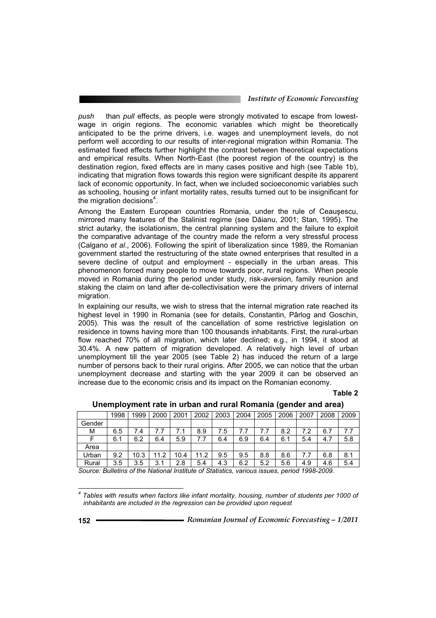*push* than *pull* effects, as people were strongly motivated to escape from lowestwage in origin regions. The economic variables which might be theoretically anticipated to be the prime drivers, i.e. wages and unemployment levels, do not perform well according to our results of inter-regional migration within Romania. The estimated fixed effects further highlight the contrast between theoretical expectations and empirical results. When North-East (the poorest region of the country) is the destination region, fixed effects are in many cases positive and high (see Table 1b), indicating that migration flows towards this region were significant despite its apparent lack of economic opportunity. In fact, when we included socioeconomic variables such as schooling, housing or infant mortality rates, results turned out to be insignificant for the migration decisions<sup>4</sup>.

Among the Eastern European countries Romania, under the rule of Ceausescu, mirrored many features of the Stalinist regime (see Dăianu, 2001; Stan, 1995). The strict autarky, the isolationism, the central planning system and the failure to exploit the comparative advantage of the country made the reform a very stressful process (Calgano *et al*., 2006). Following the spirit of liberalization since 1989, the Romanian government started the restructuring of the state owned enterprises that resulted in a severe decline of output and employment - especially in the urban areas. This phenomenon forced many people to move towards poor, rural regions. When people moved in Romania during the period under study, risk-aversion, family reunion and staking the claim on land after de-collectivisation were the primary drivers of internal migration.

In explaining our results, we wish to stress that the internal migration rate reached its highest level in 1990 in Romania (see for details, Constantin, Pârlog and Goschin, 2005). This was the result of the cancellation of some restrictive legislation on residence in towns having more than 100 thousands inhabitants. First, the rural-urban flow reached 70% of all migration, which later declined; e.g., in 1994, it stood at 30.4%. A new pattern of migration developed. A relatively high level of urban unemployment till the year 2005 (see Table 2) has induced the return of a large number of persons back to their rural origins. After 2005, we can notice that the urban unemployment decrease and starting with the year 2009 it can be observed an increase due to the economic crisis and its impact on the Romanian economy.

#### **Table 2**

| 1998 | 1999 | 2000 | 2001 | 2002 | 2003 | 2004 | 2005 | 2006 | 2007 | 2008 | 2009 |
|------|------|------|------|------|------|------|------|------|------|------|------|
|      |      |      |      |      |      |      |      |      |      |      |      |
| 6.5  | 7.4  |      |      | 8.9  | 7.5  |      |      | 8.2  |      | 6.7  | 7.7  |
| 6.1  | 6.2  | 6.4  | 5.9  | 7.7  | 6.4  | 6.9  | 6.4  | 6.1  | 5.4  | 4.7  | 5.8  |
|      |      |      |      |      |      |      |      |      |      |      |      |
| 9.2  | 10.3 | 11.2 | 10.4 | 11.2 | 9.5  | 9.5  | 8.8  | 8.6  |      | 6.8  | 8.1  |
| 3.5  | 3.5  | 3.1  | 2.8  | 5.4  | 4.3  | 6.2  | 5.2  | 5.6  | 4.9  | 4.6  | 5.4  |
|      |      |      |      |      |      |      |      |      |      |      |      |

**Unemployment rate in urban and rural Romania (gender and area)** 

*Source: Bulletins of the National Institute of Statistics, various issues, period 1998-2009.* 

 $\overline{a}$ 

*<sup>4</sup> Tables with results when factors like infant mortality, housing, number of students per 1000 of inhabitants are included in the regression can be provided upon request*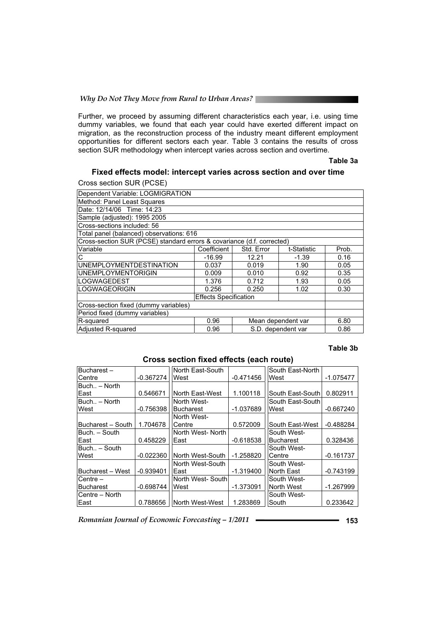#### *Why Do Not They Move from Rural to Urban Areas?*

Further, we proceed by assuming different characteristics each year, i.e. using time dummy variables, we found that each year could have exerted different impact on migration, as the reconstruction process of the industry meant different employment opportunities for different sectors each year. Table 3 contains the results of cross section SUR methodology when intercept varies across section and overtime.

#### **Table 3a**

#### **Fixed effects model: intercept varies across section and over time**

Cross section SUR (PCSE)

| Dependent Variable: LOGMIGRATION         |            |             |                                                                                              |  |  |
|------------------------------------------|------------|-------------|----------------------------------------------------------------------------------------------|--|--|
| Method: Panel Least Squares              |            |             |                                                                                              |  |  |
|                                          |            |             |                                                                                              |  |  |
|                                          |            |             |                                                                                              |  |  |
|                                          |            |             |                                                                                              |  |  |
| Total panel (balanced) observations: 616 |            |             |                                                                                              |  |  |
|                                          |            |             |                                                                                              |  |  |
| Coefficient                              | Std. Error | t-Statistic | Prob.                                                                                        |  |  |
| $-16.99$                                 | 12.21      | $-1.39$     | 0.16                                                                                         |  |  |
| 0.037                                    | 0.019      | 1.90        | 0.05                                                                                         |  |  |
| 0.009                                    | 0.010      | 0.92        | 0.35                                                                                         |  |  |
| 1.376                                    | 0.712      | 1.93        | 0.05                                                                                         |  |  |
| 0.256                                    | 0.250      | 1.02        | 0.30                                                                                         |  |  |
| <b>Effects Specification</b>             |            |             |                                                                                              |  |  |
| Cross-section fixed (dummy variables)    |            |             |                                                                                              |  |  |
| Period fixed (dummy variables)           |            |             |                                                                                              |  |  |
| Mean dependent var<br>R-squared<br>0.96  |            |             |                                                                                              |  |  |
| 0.96                                     |            |             | 0.86                                                                                         |  |  |
|                                          |            |             | Cross-section SUR (PCSE) standard errors & covariance (d.f. corrected)<br>S.D. dependent var |  |  |

#### **Table 3b**

| Bucharest-        |             | North East-South  |             | South East-North |             |
|-------------------|-------------|-------------------|-------------|------------------|-------------|
| Centre            | $-0.367274$ | West              | $-0.471456$ | West             | $-1.075477$ |
| Buch - North      |             |                   |             |                  |             |
| East              | 0.546671    | North East-West   | 1.100118    | South East-South | 0.802911    |
| Buch - North      |             | North West-       |             | South East-South |             |
| West              | $-0.756398$ | <b>Bucharest</b>  | $-1.037689$ | West             | $-0.667240$ |
|                   |             | North West-       |             |                  |             |
| Bucharest - South | 1.704678    | Centre            | 0.572009    | South East-West  | -0.488284   |
| Buch. – South     |             | North West-North  |             | South West-      |             |
| East              | 0.458229    | East              | $-0.618538$ | <b>Bucharest</b> | 0.328436    |
| Buch - South      |             |                   |             | South West-      |             |
| West              | $-0.022360$ | North West-South  | $-1.258820$ | Centre           | $-0.161737$ |
|                   |             | North West-South  |             | South West-      |             |
| Bucharest - West  | $-0.939401$ | East              | $-1.319400$ | North East       | $-0.743199$ |
| Centre –          |             | North West- South |             | South West-      |             |
| <b>Bucharest</b>  | $-0.698744$ | West              | $-1.373091$ | North West       | -1.267999   |
| Centre - North    |             |                   |             | South West-      |             |
| East              | 0.788656    | North West-West   | 1.283869    | South            | 0.233642    |

#### **Cross section fixed effects (each route)**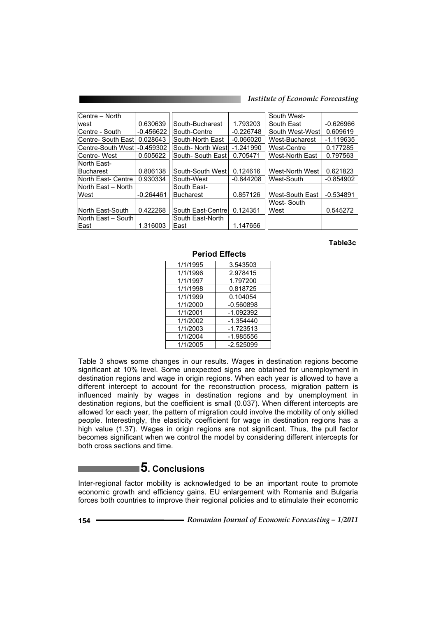| Centre - North               |             |                             |             | South West-            |             |
|------------------------------|-------------|-----------------------------|-------------|------------------------|-------------|
| west                         | 0.630639    | South-Bucharest             | 1.793203    | South East             | $-0.626966$ |
| Centre - South               | $-0.456622$ | South-Centre<br>$-0.226748$ |             | South West-West        | 0.609619    |
| Centre- South East           | 0.028643    | South-North East            | $-0.066020$ | West-Bucharest         | $-1.119635$ |
| Centre-South West            | $-0.459302$ | South- North West           | $-1.241990$ | <b>West-Centre</b>     | 0.177285    |
| Centre-West                  | 0.505622    | South-South East            | 0.705471    | <b>West-North East</b> | 0.797563    |
| lNorth East-                 |             |                             |             |                        |             |
| <b>Bucharest</b>             | 0.806138    | South-South West            | 0.124616    | West-North West        | 0.621823    |
| North East- Centre           | 0.930334    | South-West                  | $-0.844208$ | West-South             | $-0.854902$ |
| North East – North           | South East- |                             |             |                        |             |
| West                         | $-0.264461$ | <b>Bucharest</b>            | 0.857126    | West-South East        | $-0.534891$ |
|                              |             |                             |             | West-South             |             |
| North East-South             | 0.422268    | South East-Centre           | 0.124351    | lWest                  | 0.545272    |
| ∣North East – South <i>∖</i> |             | South East-North            |             |                        |             |
| East                         | 1.316003    | lEast                       | 1.147656    |                        |             |

#### **Table3c**

| 1/1/1995 | 3.543503    |
|----------|-------------|
| 1/1/1996 | 2.978415    |
| 1/1/1997 | 1.797200    |
| 1/1/1998 | 0.818725    |
| 1/1/1999 | 0.104054    |
| 1/1/2000 | $-0.560898$ |
| 1/1/2001 | $-1.092392$ |
| 1/1/2002 | $-1.354440$ |
| 1/1/2003 | $-1.723513$ |
| 1/1/2004 | $-1.985556$ |
| 1/1/2005 | $-2.525099$ |
|          |             |

 **Period Effects** 

Table 3 shows some changes in our results. Wages in destination regions become significant at 10% level. Some unexpected signs are obtained for unemployment in destination regions and wage in origin regions. When each year is allowed to have a different intercept to account for the reconstruction process, migration pattern is influenced mainly by wages in destination regions and by unemployment in destination regions, but the coefficient is small (0.037). When different intercepts are allowed for each year, the pattern of migration could involve the mobility of only skilled people. Interestingly, the elasticity coefficient for wage in destination regions has a high value (1.37). Wages in origin regions are not significant. Thus, the pull factor becomes significant when we control the model by considering different intercepts for both cross sections and time.

# **5. Conclusions**

Inter-regional factor mobility is acknowledged to be an important route to promote economic growth and efficiency gains. EU enlargement with Romania and Bulgaria forces both countries to improve their regional policies and to stimulate their economic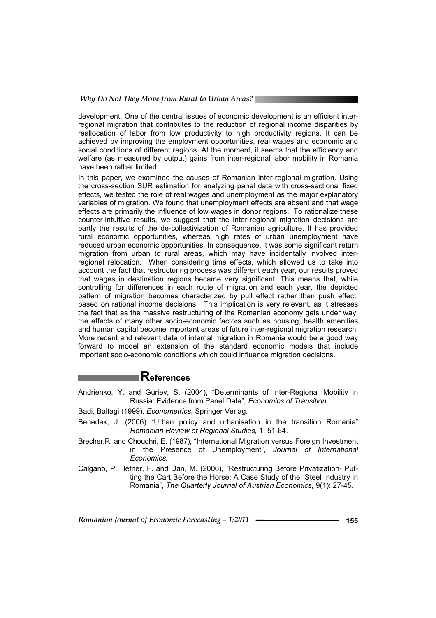development. One of the central issues of economic development is an efficient interregional migration that contributes to the reduction of regional income disparities by reallocation of labor from low productivity to high productivity regions. It can be achieved by improving the employment opportunities, real wages and economic and social conditions of different regions. At the moment, it seems that the efficiency and welfare (as measured by output) gains from inter-regional labor mobility in Romania have been rather limited.

In this paper, we examined the causes of Romanian inter-regional migration. Using the cross-section SUR estimation for analyzing panel data with cross-sectional fixed effects, we tested the role of real wages and unemployment as the major explanatory variables of migration. We found that unemployment effects are absent and that wage effects are primarily the influence of low wages in donor regions. To rationalize these counter-intuitive results, we suggest that the inter-regional migration decisions are partly the results of the de-collectivization of Romanian agriculture. It has provided rural economic opportunities, whereas high rates of urban unemployment have reduced urban economic opportunities. In consequence, it was some significant return migration from urban to rural areas, which may have incidentally involved interregional relocation. When considering time effects, which allowed us to take into account the fact that restructuring process was different each year, our results proved that wages in destination regions became very significant. This means that, while controlling for differences in each route of migration and each year, the depicted pattern of migration becomes characterized by pull effect rather than push effect, based on rational income decisions. This implication is very relevant, as it stresses the fact that as the massive restructuring of the Romanian economy gets under way, the effects of many other socio-economic factors such as housing, health amenities and human capital become important areas of future inter-regional migration research. More recent and relevant data of internal migration in Romania would be a good way forward to model an extension of the standard economic models that include important socio-economic conditions which could influence migration decisions.

# **References**

Andrienko, Y. and Guriev, S. (2004), "Determinants of Inter-Regional Mobility in Russia: Evidence from Panel Data"*, Economics of Transition.* 

Badi, Baltagi (1999), *Econometrics*, Springer Verlag.

- Benedek, J. (2006) "Urban policy and urbanisation in the transition Romania" *Romanian Review of Regional Studies,* 1: 51-64.
- Brecher,R. and Choudhri, E. (1987), "International Migration versus Foreign Investment in the Presence of Unemployment", *Journal of International Economics.*
- Calgano, P. Hefner, F. and Dan, M. (2006), "Restructuring Before Privatization- Putting the Cart Before the Horse: A Case Study of the Steel Industry in Romania", *The Quarterly Journal of Austrian Economics,* 9(1): 27-45*.*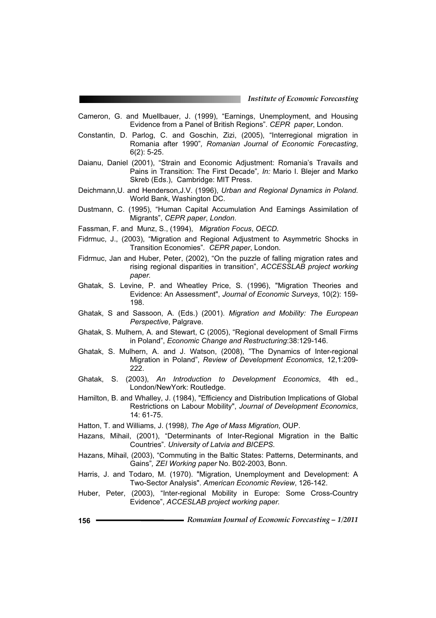- Cameron, G. and Muellbauer, J. (1999), "Earnings, Unemployment, and Housing Evidence from a Panel of British Regions"*. CEPR paper*, London.
- Constantin, D. Parlog, C. and Goschin, Zizi, (2005), "Interregional migration in Romania after 1990"*, Romanian Journal of Economic Forecasting*, 6(2): 5-25.
- Daianu, Daniel (2001), "Strain and Economic Adjustment: Romania's Travails and Pains in Transition: The First Decade"*, In:* Mario I. Blejer and Marko Skreb (Eds.), Cambridge: MIT Press.
- Deichmann,U. and Henderson,J.V. (1996), *Urban and Regional Dynamics in Poland*. World Bank, Washington DC.
- Dustmann, C. (1995), "Human Capital Accumulation And Earnings Assimilation of Migrants", *CEPR paper*, *London*.
- Fassman, F. and Munz, S., (1994), *Migration Focus*, *OECD.*
- Fidrmuc, J., (2003), "Migration and Regional Adjustment to Asymmetric Shocks in Transition Economies"*. CEPR paper*, London.
- Fidrmuc, Jan and Huber, Peter, (2002), "On the puzzle of falling migration rates and rising regional disparities in transition", *ACCESSLAB project working paper.*
- Ghatak, S. Levine, P. and Wheatley Price, S. (1996), "Migration Theories and Evidence: An Assessment", *Journal of Economic Surveys*, 10(2): 159- 198.
- Ghatak, S and Sassoon, A. (Eds.) (2001). *Migration and Mobility: The European Perspective*, Palgrave.
- Ghatak, S. Mulhern, A. and Stewart, C (2005), "Regional development of Small Firms in Poland", *Economic Change and Restructuring*:38:129-146.
- Ghatak, S. Mulhern, A. and J. Watson, (2008), "The Dynamics of Inter-regional Migration in Poland", *Review of Development Economics*, 12,1:209- 222.
- Ghatak, S. (2003), *An Introduction to Development Economics*, 4th ed., London/NewYork: Routledge.
- Hamilton, B. and Whalley, J. (1984), "Efficiency and Distribution Implications of Global Restrictions on Labour Mobility", *Journal of Development Economics*, 14: 61-75.
- Hatton, T. and Williams, J. (1998*), The Age of Mass Migration*, OUP.
- Hazans, Mihail, (2001), "Determinants of Inter-Regional Migration in the Baltic Countries"*. University of Latvia and BICEPS.*
- Hazans, Mihail, (2003), "Commuting in the Baltic States: Patterns, Determinants, and Gains"*, ZEI Working paper* No. B02-2003, Bonn.
- Harris, J. and Todaro, M. (1970). "Migration, Unemployment and Development: A Two-Sector Analysis". *American Economic Review*, 126-142.
- Huber, Peter, (2003), "Inter-regional Mobility in Europe: Some Cross-Country Evidence", *ACCESLAB project working paper.*
- **<sup>156</sup>** *Romanian Journal of Economic Forecasting 1/2011*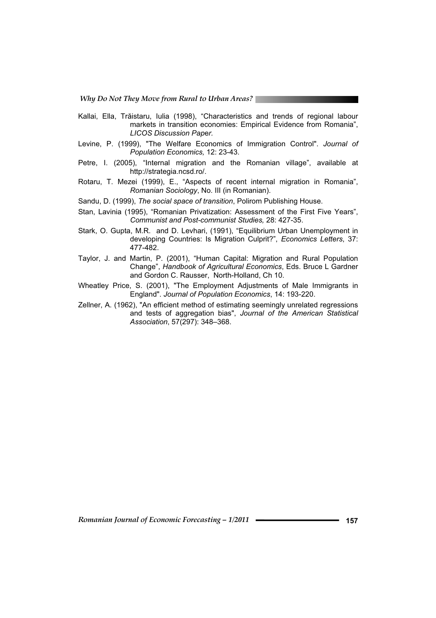*Why Do Not They Move from Rural to Urban Areas?* 

- Kallai, Ella, Trăistaru, Iulia (1998), "Characteristics and trends of regional labour markets in transition economies: Empirical Evidence from Romania", *LICOS Discussion Pap*e*r.*
- Levine, P. (1999), "The Welfare Economics of Immigration Control". *Journal of Population Economics,* 12: 23-43.
- Petre, I. (2005), "Internal migration and the Romanian village", available at http://strategia.ncsd.ro/.
- Rotaru, T. Mezei (1999), E., "Aspects of recent internal migration in Romania", *Romanian Sociology*, No. III (in Romanian).
- Sandu, D. (1999), *The social space of transition*, Polirom Publishing House.
- Stan, Lavinia (1995), "Romanian Privatization: Assessment of the First Five Years", *Communist and Post-communist Studies,* 28: 427-35.
- Stark, O. Gupta, M.R. and D. Levhari, (1991), "Equilibrium Urban Unemployment in developing Countries: Is Migration Culprit?", *Economics Letters*, 37: 477-482.
- Taylor, J. and Martin, P. (2001), "Human Capital: Migration and Rural Population Change", *Handbook of Agricultural Economics*, Eds. Bruce L Gardner and Gordon C. Rausser, North-Holland, Ch 10.
- Wheatley Price, S. (2001), "The Employment Adjustments of Male Immigrants in England". *Journal of Population Economics*, 14: 193-220.
- Zellner, A. (1962), "An efficient method of estimating seemingly unrelated regressions and tests of aggregation bias", *Journal of the American Statistical Association*, 57(297): 348–368.